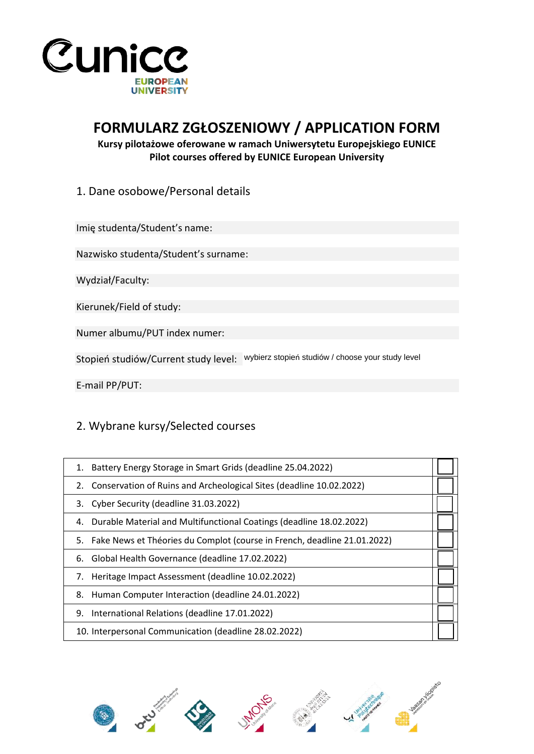

## **FORMULARZ ZGŁOSZENIOWY / APPLICATION FORM**

## **Kursy pilotażowe oferowane w ramach Uniwersytetu Europejskiego EUNICE Pilot courses offered by EUNICE European University**

1. Dane osobowe/Personal details

Imię studenta/Student's name:

Nazwisko studenta/Student's surname:

Wydział/Faculty:

Kierunek/Field of study:

Numer albumu/PUT index numer:

Stopień studiów/Current study level: wybierz stopień studiów / choose your study level

E-mail PP/PUT:

## 2. Wybrane kursy/Selected courses

| 1. Battery Energy Storage in Smart Grids (deadline 25.04.2022)              |  |
|-----------------------------------------------------------------------------|--|
| Conservation of Ruins and Archeological Sites (deadline 10.02.2022)<br>2.   |  |
| 3. Cyber Security (deadline 31.03.2022)                                     |  |
| 4. Durable Material and Multifunctional Coatings (deadline 18.02.2022)      |  |
| 5. Fake News et Théories du Complot (course in French, deadline 21.01.2022) |  |
| Global Health Governance (deadline 17.02.2022)                              |  |
| 7. Heritage Impact Assessment (deadline 10.02.2022)                         |  |
| 8. Human Computer Interaction (deadline 24.01.2022)                         |  |
| International Relations (deadline 17.01.2022)                               |  |
| 10. Interpersonal Communication (deadline 28.02.2022)                       |  |
|                                                                             |  |